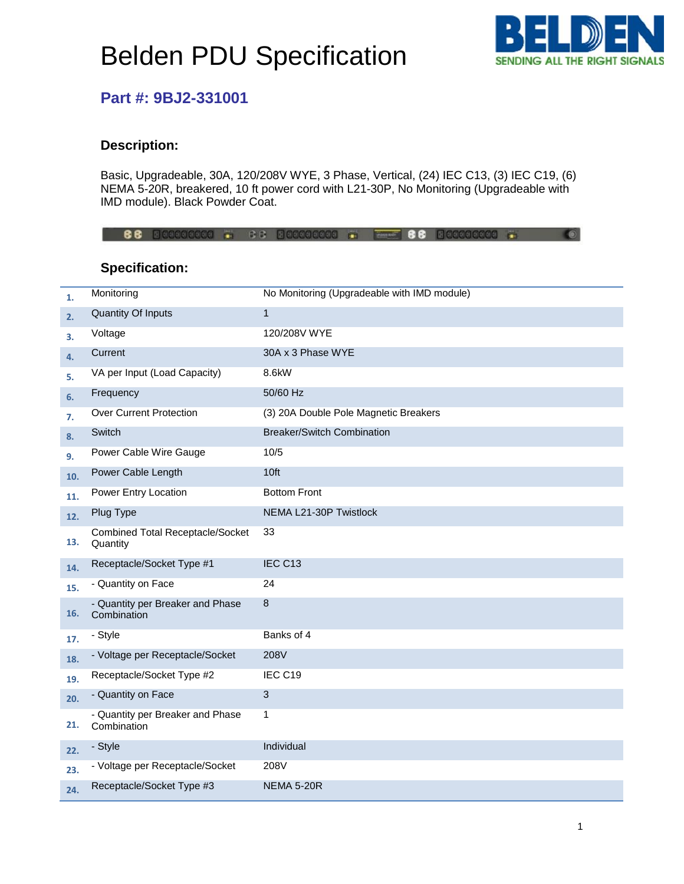# Belden PDU Specification



### **Part #: 9BJ2-331001**

#### **Description:**

Basic, Upgradeable, 30A, 120/208V WYE, 3 Phase, Vertical, (24) IEC C13, (3) IEC C19, (6) NEMA 5-20R, breakered, 10 ft power cord with L21-30P, No Monitoring (Upgradeable with IMD module). Black Powder Coat.

88 30000000 - 68 30000000 - - 88 30000000 - $\bullet$ 

### **Specification:**

| 1.  | Monitoring                                          | No Monitoring (Upgradeable with IMD module) |
|-----|-----------------------------------------------------|---------------------------------------------|
| 2.  | <b>Quantity Of Inputs</b>                           | $\mathbf{1}$                                |
| 3.  | Voltage                                             | 120/208V WYE                                |
| 4.  | Current                                             | 30A x 3 Phase WYE                           |
| 5.  | VA per Input (Load Capacity)                        | 8.6kW                                       |
| 6.  | Frequency                                           | 50/60 Hz                                    |
| 7.  | <b>Over Current Protection</b>                      | (3) 20A Double Pole Magnetic Breakers       |
| 8.  | Switch                                              | <b>Breaker/Switch Combination</b>           |
| 9.  | Power Cable Wire Gauge                              | 10/5                                        |
| 10. | Power Cable Length                                  | 10ft                                        |
| 11. | Power Entry Location                                | <b>Bottom Front</b>                         |
| 12. | Plug Type                                           | NEMA L21-30P Twistlock                      |
| 13. | <b>Combined Total Receptacle/Socket</b><br>Quantity | 33                                          |
| 14. | Receptacle/Socket Type #1                           | IEC C <sub>13</sub>                         |
| 15. | - Quantity on Face                                  | 24                                          |
| 16. | - Quantity per Breaker and Phase<br>Combination     | 8                                           |
| 17. | - Style                                             | Banks of 4                                  |
| 18. | - Voltage per Receptacle/Socket                     | 208V                                        |
| 19. | Receptacle/Socket Type #2                           | IEC C19                                     |
| 20. | - Quantity on Face                                  | 3                                           |
| 21. | - Quantity per Breaker and Phase<br>Combination     | 1                                           |
| 22. | - Style                                             | Individual                                  |
| 23. | - Voltage per Receptacle/Socket                     | 208V                                        |
| 24. | Receptacle/Socket Type #3                           | <b>NEMA 5-20R</b>                           |